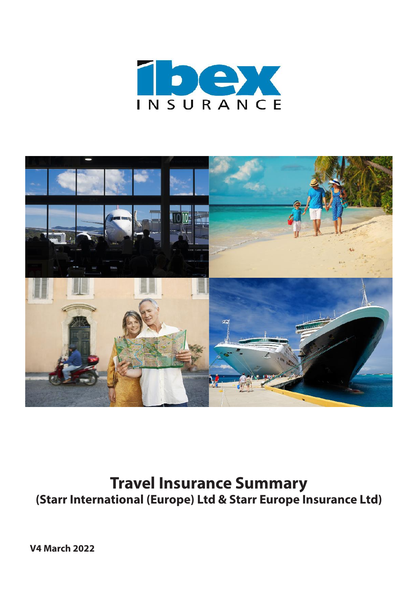



# **Travel Insurance Summary (Starr International (Europe) Ltd & Starr Europe Insurance Ltd)**

**V4 March 2022**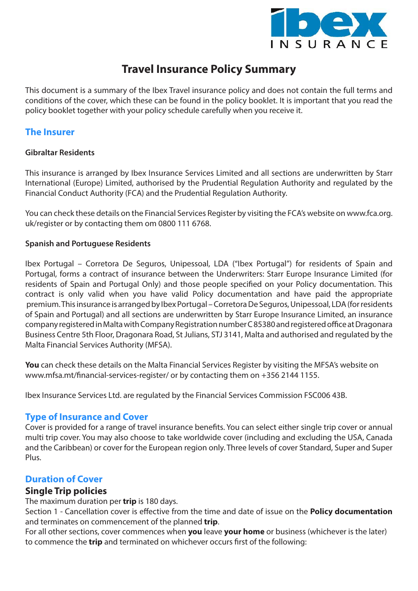

# **Travel Insurance Policy Summary**

This document is a summary of the Ibex Travel insurance policy and does not contain the full terms and conditions of the cover, which these can be found in the policy booklet. It is important that you read the policy booklet together with your policy schedule carefully when you receive it.

## **The Insurer**

## **Gibraltar Residents**

This insurance is arranged by Ibex Insurance Services Limited and all sections are underwritten by Starr International (Europe) Limited, authorised by the Prudential Regulation Authority and regulated by the Financial Conduct Authority (FCA) and the Prudential Regulation Authority.

You can check these details on the Financial Services Register by visiting the FCA's website on www.fca.org. uk/register or by contacting them om 0800 111 6768.

## **Spanish and Portuguese Residents**

Ibex Portugal – Corretora De Seguros, Unipessoal, LDA ("Ibex Portugal") for residents of Spain and Portugal, forms a contract of insurance between the Underwriters: Starr Europe Insurance Limited (for residents of Spain and Portugal Only) and those people specified on your Policy documentation. This contract is only valid when you have valid Policy documentation and have paid the appropriate premium. This insurance is arranged by Ibex Portugal – Corretora De Seguros, Unipessoal, LDA (for residents of Spain and Portugal) and all sections are underwritten by Starr Europe Insurance Limited, an insurance company registered in Malta with Company Registration number C 85380 and registered office at Dragonara Business Centre 5th Floor, Dragonara Road, St Julians, STJ 3141, Malta and authorised and regulated by the Malta Financial Services Authority (MFSA).

**You** can check these details on the Malta Financial Services Register by visiting the MFSA's website on www.mfsa.mt/financial-services-register/ or by contacting them on +356 2144 1155.

Ibex Insurance Services Ltd. are regulated by the Financial Services Commission FSC006 43B.

## **Type of Insurance and Cover**

Cover is provided for a range of travel insurance benefits. You can select either single trip cover or annual multi trip cover. You may also choose to take worldwide cover (including and excluding the USA, Canada and the Caribbean) or cover for the European region only. Three levels of cover Standard, Super and Super Plus.

## **Duration of Cover**

## **Single Trip policies**

The maximum duration per **trip** is 180 days.

Section 1 - Cancellation cover is effective from the time and date of issue on the **Policy documentation** and terminates on commencement of the planned **trip**.

For all other sections, cover commences when **you** leave **your home** or business (whichever is the later) to commence the **trip** and terminated on whichever occurs first of the following: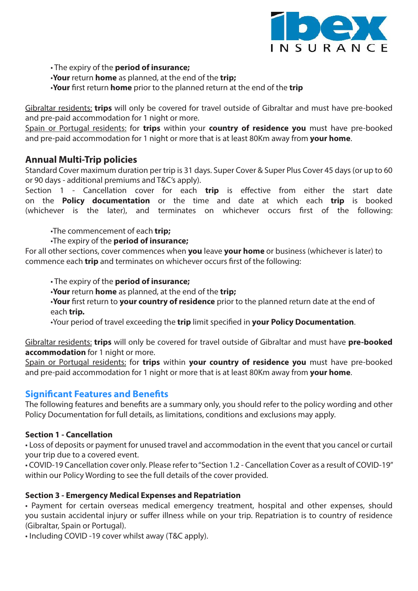

• The expiry of the **period of insurance;**

- •**Your** return **home** as planned, at the end of the **trip;**
- •**Your** first return **home** prior to the planned return at the end of the **trip**

Gibraltar residents: **trips** will only be covered for travel outside of Gibraltar and must have pre-booked and pre-paid accommodation for 1 night or more.

Spain or Portugal residents: for **trips** within your **country of residence you** must have pre-booked and pre-paid accommodation for 1 night or more that is at least 80Km away from **your home**.

## **Annual Multi-Trip policies**

Standard Cover maximum duration per trip is 31 days. Super Cover & Super Plus Cover 45 days (or up to 60 or 90 days - additional premiums and T&C's apply).

Section 1 - Cancellation cover for each **trip** is effective from either the start date on the **Policy documentation** or the time and date at which each **trip** is booked (whichever is the later), and terminates on whichever occurs first of the following:

•The commencement of each **trip;**

•The expiry of the **period of insurance;**

For all other sections, cover commences when **you** leave **your home** or business (whichever is later) to commence each **trip** and terminates on whichever occurs first of the following:

• The expiry of the **period of insurance;**

•**Your** return **home** as planned, at the end of the **trip;**

•**Your** first return to **your country of residence** prior to the planned return date at the end of each **trip.**

•Your period of travel exceeding the **trip** limit specified in **your Policy Documentation**.

Gibraltar residents: **trips** will only be covered for travel outside of Gibraltar and must have **pre-booked accommodation** for 1 night or more.

Spain or Portugal residents: for **trips** within **your country of residence you** must have pre-booked and pre-paid accommodation for 1 night or more that is at least 80Km away from **your home**.

## **Significant Features and Benefits**

The following features and benefits are a summary only, you should refer to the policy wording and other Policy Documentation for full details, as limitations, conditions and exclusions may apply.

## **Section 1 - Cancellation**

• Loss of deposits or payment for unused travel and accommodation in the event that you cancel or curtail your trip due to a covered event.

• COVID-19 Cancellation cover only. Please refer to "Section 1.2 - Cancellation Cover as a result of COVID-19" within our Policy Wording to see the full details of the cover provided.

## **Section 3 - Emergency Medical Expenses and Repatriation**

• Payment for certain overseas medical emergency treatment, hospital and other expenses, should you sustain accidental injury or suffer illness while on your trip. Repatriation is to country of residence (Gibraltar, Spain or Portugal).

• Including COVID -19 cover whilst away (T&C apply).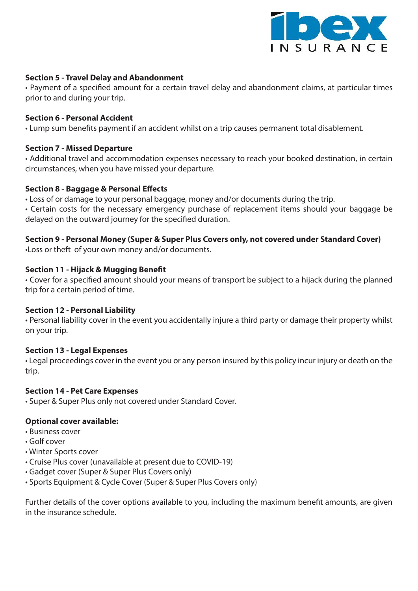

#### **Section 5 - Travel Delay and Abandonment**

• Payment of a specified amount for a certain travel delay and abandonment claims, at particular times prior to and during your trip.

#### **Section 6 - Personal Accident**

• Lump sum benefits payment if an accident whilst on a trip causes permanent total disablement.

#### **Section 7 - Missed Departure**

• Additional travel and accommodation expenses necessary to reach your booked destination, in certain circumstances, when you have missed your departure.

#### **Section 8 - Baggage & Personal Effects**

• Loss of or damage to your personal baggage, money and/or documents during the trip.

• Certain costs for the necessary emergency purchase of replacement items should your baggage be delayed on the outward journey for the specified duration.

## **Section 9 - Personal Money (Super & Super Plus Covers only, not covered under Standard Cover)**

•Loss or theft of your own money and/or documents.

#### **Section 11 - Hijack & Mugging Benefit**

• Cover for a specified amount should your means of transport be subject to a hijack during the planned trip for a certain period of time.

#### **Section 12 - Personal Liability**

• Personal liability cover in the event you accidentally injure a third party or damage their property whilst on your trip.

## **Section 13 - Legal Expenses**

• Legal proceedings cover in the event you or any person insured by this policy incur injury or death on the trip.

#### **Section 14 - Pet Care Expenses**

• Super & Super Plus only not covered under Standard Cover.

#### **Optional cover available:**

- Business cover
- Golf cover
- Winter Sports cover
- Cruise Plus cover (unavailable at present due to COVID-19)
- Gadget cover (Super & Super Plus Covers only)
- Sports Equipment & Cycle Cover (Super & Super Plus Covers only)

Further details of the cover options available to you, including the maximum benefit amounts, are given in the insurance schedule.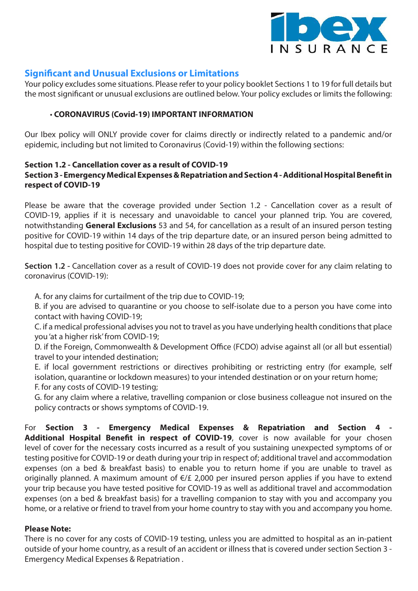

## **Significant and Unusual Exclusions or Limitations**

Your policy excludes some situations. Please refer to your policy booklet Sections 1 to 19 for full details but the most significant or unusual exclusions are outlined below. Your policy excludes or limits the following:

## • **CORONAVIRUS (Covid-19) IMPORTANT INFORMATION**

Our Ibex policy will ONLY provide cover for claims directly or indirectly related to a pandemic and/or epidemic, including but not limited to Coronavirus (Covid-19) within the following sections:

#### **Section 1.2 - Cancellation cover as a result of COVID-19 Section 3 - Emergency Medical Expenses & Repatriation and Section 4 - Additional Hospital Benefit in respect of COVID-19**

Please be aware that the coverage provided under Section 1.2 - Cancellation cover as a result of COVID-19, applies if it is necessary and unavoidable to cancel your planned trip. You are covered, notwithstanding **General Exclusions** 53 and 54, for cancellation as a result of an insured person testing positive for COVID-19 within 14 days of the trip departure date, or an insured person being admitted to hospital due to testing positive for COVID-19 within 28 days of the trip departure date.

**Section 1.2 -** Cancellation cover as a result of COVID-19 does not provide cover for any claim relating to coronavirus (COVID-19):

A. for any claims for curtailment of the trip due to COVID-19;

B. if you are advised to quarantine or you choose to self-isolate due to a person you have come into contact with having COVID-19;

C. if a medical professional advises you not to travel as you have underlying health conditions that place you 'at a higher risk' from COVID-19;

D. if the Foreign, Commonwealth & Development Office (FCDO) advise against all (or all but essential) travel to your intended destination;

E. if local government restrictions or directives prohibiting or restricting entry (for example, self isolation, quarantine or lockdown measures) to your intended destination or on your return home; F. for any costs of COVID-19 testing;

G. for any claim where a relative, travelling companion or close business colleague not insured on the policy contracts or shows symptoms of COVID-19.

For **Section 3 - Emergency Medical Expenses & Repatriation and Section 4 -**  Additional Hospital Benefit in respect of COVID-19, cover is now available for your chosen level of cover for the necessary costs incurred as a result of you sustaining unexpected symptoms of or testing positive for COVID-19 or death during your trip in respect of; additional travel and accommodation expenses (on a bed & breakfast basis) to enable you to return home if you are unable to travel as originally planned. A maximum amount of €/£ 2,000 per insured person applies if you have to extend your trip because you have tested positive for COVID-19 as well as additional travel and accommodation expenses (on a bed & breakfast basis) for a travelling companion to stay with you and accompany you home, or a relative or friend to travel from your home country to stay with you and accompany you home.

## **Please Note:**

There is no cover for any costs of COVID-19 testing, unless you are admitted to hospital as an in-patient outside of your home country, as a result of an accident or illness that is covered under section Section 3 - Emergency Medical Expenses & Repatriation .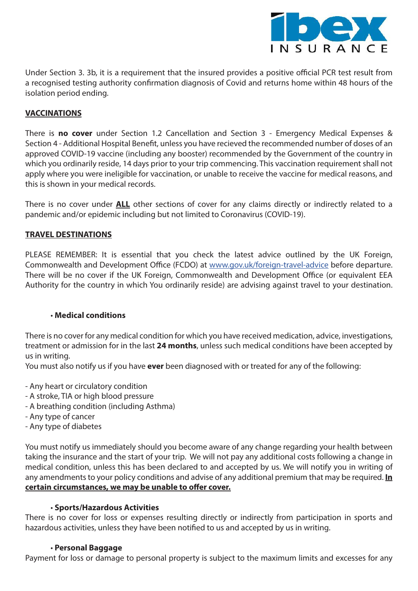

Under Section 3. 3b, it is a requirement that the insured provides a positive official PCR test result from a recognised testing authority confirmation diagnosis of Covid and returns home within 48 hours of the isolation period ending.

## **VACCINATIONS**

There is **no cover** under Section 1.2 Cancellation and Section 3 - Emergency Medical Expenses & Section 4 - Additional Hospital Benefit, unless you have recieved the recommended number of doses of an approved COVID-19 vaccine (including any booster) recommended by the Government of the country in which you ordinarily reside, 14 days prior to your trip commencing. This vaccination requirement shall not apply where you were ineligible for vaccination, or unable to receive the vaccine for medical reasons, and this is shown in your medical records.

There is no cover under **ALL** other sections of cover for any claims directly or indirectly related to a pandemic and/or epidemic including but not limited to Coronavirus (COVID-19).

#### **TRAVEL DESTINATIONS**

PLEASE REMEMBER: It is essential that you check the latest advice outlined by the UK Foreign, Commonwealth and Development Office (FCDO) at www.gov.uk/foreign-travel-advice before departure. There will be no cover if the UK Foreign, Commonwealth and Development Office (or equivalent EEA Authority for the country in which You ordinarily reside) are advising against travel to your destination.

#### • **Medical conditions**

There is no cover for any medical condition for which you have received medication, advice, investigations, treatment or admission for in the last **24 months**, unless such medical conditions have been accepted by us in writing.

You must also notify us if you have **ever** been diagnosed with or treated for any of the following:

- Any heart or circulatory condition
- A stroke, TIA or high blood pressure
- A breathing condition (including Asthma)
- Any type of cancer
- Any type of diabetes

You must notify us immediately should you become aware of any change regarding your health between taking the insurance and the start of your trip. We will not pay any additional costs following a change in medical condition, unless this has been declared to and accepted by us. We will notify you in writing of any amendments to your policy conditions and advise of any additional premium that may be required. **In certain circumstances, we may be unable to offer cover.**

#### • **Sports/Hazardous Activities**

There is no cover for loss or expenses resulting directly or indirectly from participation in sports and hazardous activities, unless they have been notified to us and accepted by us in writing.

#### • **Personal Baggage**

Payment for loss or damage to personal property is subject to the maximum limits and excesses for any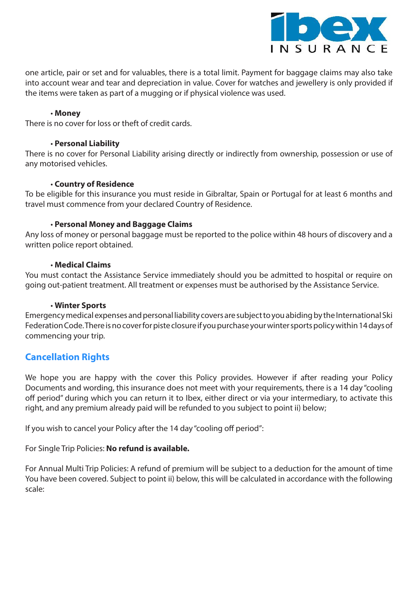

one article, pair or set and for valuables, there is a total limit. Payment for baggage claims may also take into account wear and tear and depreciation in value. Cover for watches and jewellery is only provided if the items were taken as part of a mugging or if physical violence was used.

#### • **Money**

There is no cover for loss or theft of credit cards.

#### • **Personal Liability**

There is no cover for Personal Liability arising directly or indirectly from ownership, possession or use of any motorised vehicles.

#### • **Country of Residence**

To be eligible for this insurance you must reside in Gibraltar, Spain or Portugal for at least 6 months and travel must commence from your declared Country of Residence.

#### • **Personal Money and Baggage Claims**

Any loss of money or personal baggage must be reported to the police within 48 hours of discovery and a written police report obtained.

#### • **Medical Claims**

You must contact the Assistance Service immediately should you be admitted to hospital or require on going out-patient treatment. All treatment or expenses must be authorised by the Assistance Service.

#### • **Winter Sports**

Emergency medical expenses and personal liability covers are subject to you abiding by the International Ski Federation Code. There is no cover for piste closure if you purchase your winter sports policy within 14 days of commencing your trip.

## **Cancellation Rights**

We hope you are happy with the cover this Policy provides. However if after reading your Policy Documents and wording, this insurance does not meet with your requirements, there is a 14 day "cooling off period" during which you can return it to Ibex, either direct or via your intermediary, to activate this right, and any premium already paid will be refunded to you subject to point ii) below;

If you wish to cancel your Policy after the 14 day "cooling off period":

For Single Trip Policies: **No refund is available.**

For Annual Multi Trip Policies: A refund of premium will be subject to a deduction for the amount of time You have been covered. Subject to point ii) below, this will be calculated in accordance with the following scale: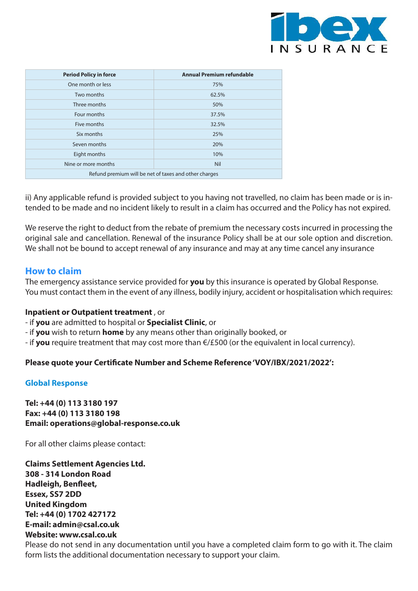

| <b>Period Policy in force</b>                         | <b>Annual Premium refundable</b> |  |  |  |  |
|-------------------------------------------------------|----------------------------------|--|--|--|--|
| One month or less                                     | 75%                              |  |  |  |  |
| Two months                                            | 62.5%                            |  |  |  |  |
| Three months                                          | 50%                              |  |  |  |  |
| Four months                                           | 37.5%                            |  |  |  |  |
| Five months                                           | 32.5%                            |  |  |  |  |
| Six months                                            | 25%                              |  |  |  |  |
| Seven months                                          | 20%                              |  |  |  |  |
| Eight months                                          | 10%                              |  |  |  |  |
| Nine or more months                                   | <b>Nil</b>                       |  |  |  |  |
| Refund premium will be net of taxes and other charges |                                  |  |  |  |  |

ii) Any applicable refund is provided subject to you having not travelled, no claim has been made or is intended to be made and no incident likely to result in a claim has occurred and the Policy has not expired.

We reserve the right to deduct from the rebate of premium the necessary costs incurred in processing the original sale and cancellation. Renewal of the insurance Policy shall be at our sole option and discretion. We shall not be bound to accept renewal of any insurance and may at any time cancel any insurance

## **How to claim**

The emergency assistance service provided for **you** by this insurance is operated by Global Response. You must contact them in the event of any illness, bodily injury, accident or hospitalisation which requires:

#### **Inpatient or Outpatient treatment** , or

- if **you** are admitted to hospital or **Specialist Clinic**, or
- if **you** wish to return **home** by any means other than originally booked, or

- if **you** require treatment that may cost more than €/£500 (or the equivalent in local currency).

## **Please quote your Certificate Number and Scheme Reference 'VOY/IBX/2021/2022':**

#### **Global Response**

**Tel: +44 (0) 113 3180 197 Fax: +44 (0) 113 3180 198 Email: operations@global-response.co.uk** 

For all other claims please contact:

**Claims Settlement Agencies Ltd. 308 - 314 London Road Hadleigh, Benfleet, Essex, SS7 2DD United Kingdom Tel: +44 (0) 1702 427172 E-mail: admin@csal.co.uk Website: www.csal.co.uk**

Please do not send in any documentation until you have a completed claim form to go with it. The claim form lists the additional documentation necessary to support your claim.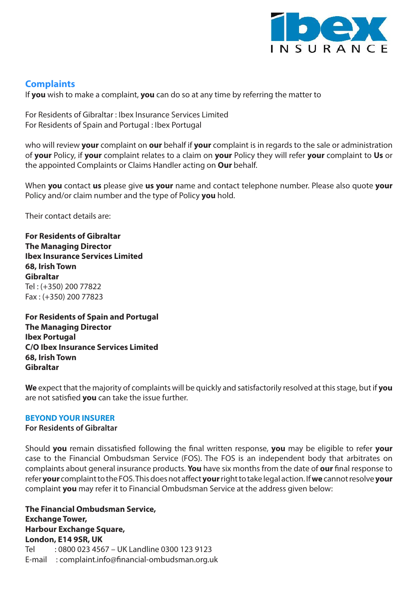

# **Complaints**

If **you** wish to make a complaint, **you** can do so at any time by referring the matter to

For Residents of Gibraltar : Ibex Insurance Services Limited For Residents of Spain and Portugal : Ibex Portugal

who will review **your** complaint on **our** behalf if **your** complaint is in regards to the sale or administration of **your** Policy, if **your** complaint relates to a claim on **your** Policy they will refer **your** complaint to **Us** or the appointed Complaints or Claims Handler acting on **Our** behalf.

When **you** contact **us** please give **us your** name and contact telephone number. Please also quote **your**  Policy and/or claim number and the type of Policy **you** hold.

Their contact details are:

**For Residents of Gibraltar The Managing Director Ibex Insurance Services Limited 68, Irish Town Gibraltar** Tel : (+350) 200 77822 Fax : (+350) 200 77823

**For Residents of Spain and Portugal The Managing Director Ibex Portugal C/O Ibex Insurance Services Limited 68, Irish Town Gibraltar**

**We** expect that the majority of complaints will be quickly and satisfactorily resolved at this stage, but if **you**  are not satisfied **you** can take the issue further.

## **BEYOND YOUR INSURER**

#### **For Residents of Gibraltar**

Should **you** remain dissatisfied following the final written response, **you** may be eligible to refer **your**  case to the Financial Ombudsman Service (FOS). The FOS is an independent body that arbitrates on complaints about general insurance products. **You** have six months from the date of **our** final response to refer **your** complaint to the FOS. This does not affect **your** right to take legal action. If **we** cannot resolve **your**  complaint **you** may refer it to Financial Ombudsman Service at the address given below:

**The Financial Ombudsman Service, Exchange Tower, Harbour Exchange Square, London, E14 9SR, UK** Tel : 0800 023 4567 – UK Landline 0300 123 9123 E-mail : complaint.info@financial-ombudsman.org.uk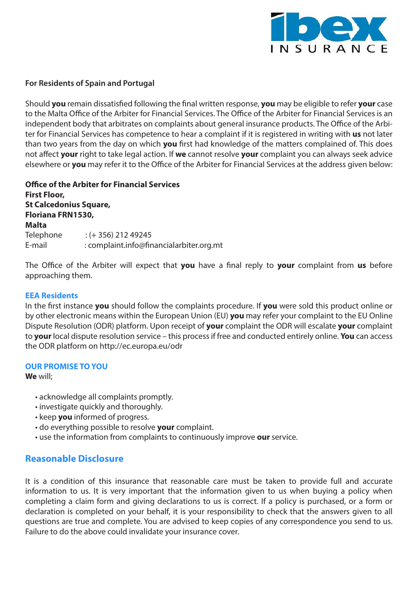

#### **For Residents of Spain and Portugal**

Should **you** remain dissatisfied following the final written response, **you** may be eligible to refer **your** case to the Malta Office of the Arbiter for Financial Services. The Office of the Arbiter for Financial Services is an independent body that arbitrates on complaints about general insurance products. The Office of the Arbiter for Financial Services has competence to hear a complaint if it is registered in writing with **us** not later than two years from the day on which **you** first had knowledge of the matters complained of. This does not affect **your** right to take legal action. If **we** cannot resolve **your** complaint you can always seek advice elsewhere or **you** may refer it to the Office of the Arbiter for Financial Services at the address given below:

**Office of the Arbiter for Financial Services First Floor, St Calcedonius Square, Floriana FRN1530, Malta** Telephone : (+ 356) 212 49245 E-mail : complaint.info@financialarbiter.org.mt

The Office of the Arbiter will expect that **you** have a final reply to **your** complaint from **us** before approaching them.

#### **EEA Residents**

In the first instance **you** should follow the complaints procedure. If **you** were sold this product online or by other electronic means within the European Union (EU) **you** may refer your complaint to the EU Online Dispute Resolution (ODR) platform. Upon receipt of **your** complaint the ODR will escalate **your** complaint to **your** local dispute resolution service – this process if free and conducted entirely online. **You** can access the ODR platform on http://ec.europa.eu/odr

#### **OUR PROMISE TO YOU**

**We** will;

- acknowledge all complaints promptly.
- investigate quickly and thoroughly.
- keep **you** informed of progress.
- do everything possible to resolve **your** complaint.
- use the information from complaints to continuously improve **our** service.

## **Reasonable Disclosure**

It is a condition of this insurance that reasonable care must be taken to provide full and accurate information to us. It is very important that the information given to us when buying a policy when completing a claim form and giving declarations to us is correct. If a policy is purchased, or a form or declaration is completed on your behalf, it is your responsibility to check that the answers given to all questions are true and complete. You are advised to keep copies of any correspondence you send to us. Failure to do the above could invalidate your insurance cover.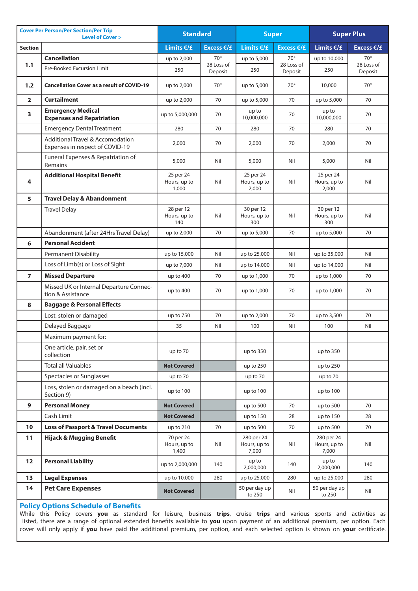| <b>Cover Per Person/Per Section/Per Trip</b><br><b>Level of Cover &gt;</b> |                                                                     | <b>Standard</b>                    |                       | <b>Super</b>                        |                       | <b>Super Plus</b>                   |                       |
|----------------------------------------------------------------------------|---------------------------------------------------------------------|------------------------------------|-----------------------|-------------------------------------|-----------------------|-------------------------------------|-----------------------|
| <b>Section</b>                                                             |                                                                     | Limits €/£                         | Excess $E/E$          | Limits $E/E$                        | Excess $E/E$          | Limits $E/E$                        | Excess $E/E$          |
|                                                                            | <b>Cancellation</b>                                                 | up to 2,000                        | $70*$                 | up to 5,000                         | $70*$                 | up to 10,000                        | $70*$                 |
| 1.1                                                                        | Pre-Booked Excursion Limit                                          | 250                                | 28 Loss of<br>Deposit | 250                                 | 28 Loss of<br>Deposit | 250                                 | 28 Loss of<br>Deposit |
| 1.2                                                                        | <b>Cancellation Cover as a result of COVID-19</b>                   | up to 2,000                        | $70*$                 | up to 5,000                         | 70*                   | 10,000                              | $70*$                 |
| $\overline{2}$                                                             | <b>Curtailment</b>                                                  | up to 2,000                        | 70                    | up to 5,000                         | 70                    | up to 5,000                         | 70                    |
| $\overline{\mathbf{3}}$                                                    | <b>Emergency Medical</b><br><b>Expenses and Repatriation</b>        | up to 5,000,000                    | 70                    | up to<br>10,000,000                 | 70                    | up to<br>10,000,000                 | 70                    |
|                                                                            | <b>Emergency Dental Treatment</b>                                   | 280                                | 70                    | 280                                 | 70                    | 280                                 | 70                    |
|                                                                            | Additional Travel & Accomodation<br>Expenses in respect of COVID-19 | 2,000                              | 70                    | 2,000                               | 70                    | 2,000                               | 70                    |
|                                                                            | Funeral Expenses & Repatriation of<br>Remains                       | 5,000                              | Nil                   | 5,000                               | Nil                   | 5,000                               | Nil                   |
| 4                                                                          | <b>Additional Hospital Benefit</b>                                  | 25 per 24<br>Hours, up to<br>1,000 | Nil                   | 25 per 24<br>Hours, up to<br>2,000  | Nil                   | 25 per 24<br>Hours, up to<br>2,000  | Nil                   |
| 5                                                                          | <b>Travel Delay &amp; Abandonment</b>                               |                                    |                       |                                     |                       |                                     |                       |
|                                                                            | <b>Travel Delay</b>                                                 | 28 per 12<br>Hours, up to<br>140   | Nil                   | 30 per 12<br>Hours, up to<br>300    | Nil                   | 30 per 12<br>Hours, up to<br>300    | Nil                   |
|                                                                            | Abandonment (after 24Hrs Travel Delay)                              | up to 2,000                        | 70                    | up to 5,000                         | 70                    | up to 5,000                         | 70                    |
| 6                                                                          | <b>Personal Accident</b>                                            |                                    |                       |                                     |                       |                                     |                       |
|                                                                            | <b>Permanent Disability</b>                                         | up to 15,000                       | Nil                   | up to 25,000                        | Nil                   | up to 35,000                        | Nil                   |
|                                                                            | Loss of Limb(s) or Loss of Sight                                    | up to 7,000                        | Nil                   | up to 14,000                        | Nil                   | up to 14,000                        | Nil                   |
| $\overline{7}$                                                             | <b>Missed Departure</b>                                             | up to 400                          | 70                    | up to 1,000                         | 70                    | up to 1,000                         | 70                    |
|                                                                            | Missed UK or Internal Departure Connec-<br>tion & Assistance        | up to 400                          | 70                    | up to 1,000                         | 70                    | up to 1,000                         | 70                    |
| 8                                                                          | <b>Baggage &amp; Personal Effects</b>                               |                                    |                       |                                     |                       |                                     |                       |
|                                                                            | Lost, stolen or damaged                                             | up to 750                          | 70                    | up to 2,000                         | 70                    | up to 3,500                         | 70                    |
|                                                                            | Delayed Baggage                                                     | 35                                 | Nil                   | 100                                 | Nil                   | 100                                 | Nil                   |
|                                                                            | Maximum payment for:                                                |                                    |                       |                                     |                       |                                     |                       |
|                                                                            | One article, pair, set or<br>collection                             | up to 70                           |                       | up to 350                           |                       | up to 350                           |                       |
|                                                                            | <b>Total all Valuables</b>                                          | <b>Not Covered</b>                 |                       | up to 250                           |                       | up to 250                           |                       |
|                                                                            | Spectacles or Sunglasses                                            | up to 70                           |                       | up to 70                            |                       | up to 70                            |                       |
|                                                                            | Loss, stolen or damaged on a beach (incl.<br>Section 9)             | up to 100                          |                       | up to 100                           |                       | up to 100                           |                       |
| 9                                                                          | <b>Personal Money</b>                                               | <b>Not Covered</b>                 |                       | up to 500                           | 70                    | up to 500                           | 70                    |
|                                                                            | Cash Limit                                                          | <b>Not Covered</b>                 |                       | up to 150                           | 28                    | up to 150                           | 28                    |
| 10                                                                         | <b>Loss of Passport &amp; Travel Documents</b>                      | up to 210                          | 70                    | up to 500                           | 70                    | up to 500                           | 70                    |
| 11                                                                         | <b>Hijack &amp; Mugging Benefit</b>                                 | 70 per 24<br>Hours, up to<br>1,400 | Nil                   | 280 per 24<br>Hours, up to<br>7,000 | Nil                   | 280 per 24<br>Hours, up to<br>7,000 | Nil                   |
| 12                                                                         | <b>Personal Liability</b>                                           | up to 2,000,000                    | 140                   | up to<br>2,000,000                  | 140                   | up to<br>2,000,000                  | 140                   |
| 13                                                                         | <b>Legal Expenses</b>                                               | up to 10,000                       | 280                   | up to 25,000                        | 280                   | up to 25,000                        | 280                   |
| 14                                                                         | <b>Pet Care Expenses</b>                                            | <b>Not Covered</b>                 |                       | 50 per day up<br>to 250             | Nil                   | 50 per day up<br>to 250             | Nil                   |

#### **Policy Options Schedule of Benefits**

While this Policy covers **you** as standard for leisure, business **trips**, cruise **trips** and various sports and activities as listed, there are a range of optional extended benefits available to **you** upon payment of an additional premium, per option. Each cover will only apply if **you** have paid the additional premium, per option, and each selected option is shown on **your** certificate.